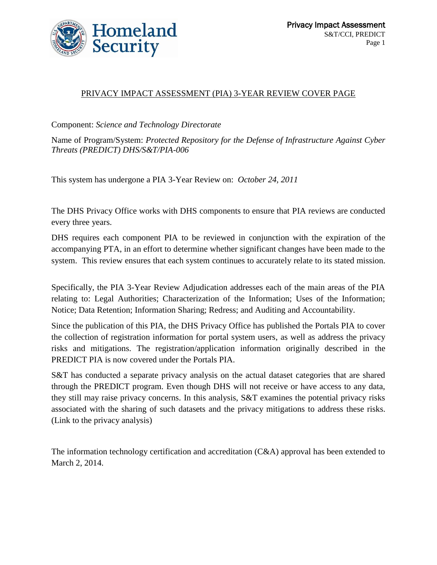

#### PRIVACY IMPACT ASSESSMENT (PIA) 3-YEAR REVIEW COVER PAGE

Component: *Science and Technology Directorate*

Name of Program/System: *Protected Repository for the Defense of Infrastructure Against Cyber Threats (PREDICT) DHS/S&T/PIA-006*

This system has undergone a PIA 3-Year Review on: *October 24, 2011*

The DHS Privacy Office works with DHS components to ensure that PIA reviews are conducted every three years.

DHS requires each component PIA to be reviewed in conjunction with the expiration of the accompanying PTA, in an effort to determine whether significant changes have been made to the system. This review ensures that each system continues to accurately relate to its stated mission.

Specifically, the PIA 3-Year Review Adjudication addresses each of the main areas of the PIA relating to: Legal Authorities; Characterization of the Information; Uses of the Information; Notice; Data Retention; Information Sharing; Redress; and Auditing and Accountability.

Since the publication of this PIA, the DHS Privacy Office has published the Portals PIA to cover the collection of registration information for portal system users, as well as address the privacy risks and mitigations. The registration/application information originally described in the PREDICT PIA is now covered under the Portals PIA.

S&T has conducted a separate privacy analysis on the actual dataset categories that are shared through the PREDICT program. Even though DHS will not receive or have access to any data, they still may raise privacy concerns. In this analysis, S&T examines the potential privacy risks associated with the sharing of such datasets and the privacy mitigations to address these risks. (Link to the privacy analysis)

The information technology certification and accreditation (C&A) approval has been extended to March 2, 2014.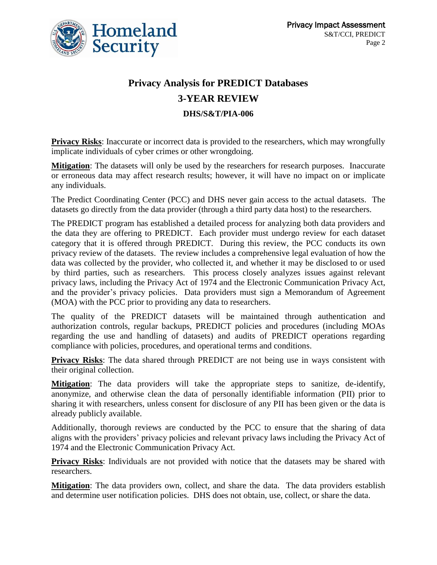

## **Privacy Analysis for PREDICT Databases 3-YEAR REVIEW**

**DHS/S&T/PIA-006**

**Privacy Risks:** Inaccurate or incorrect data is provided to the researchers, which may wrongfully implicate individuals of cyber crimes or other wrongdoing.

**Mitigation**: The datasets will only be used by the researchers for research purposes. Inaccurate or erroneous data may affect research results; however, it will have no impact on or implicate any individuals.

The Predict Coordinating Center (PCC) and DHS never gain access to the actual datasets. The datasets go directly from the data provider (through a third party data host) to the researchers.

The PREDICT program has established a detailed process for analyzing both data providers and the data they are offering to PREDICT. Each provider must undergo review for each dataset category that it is offered through PREDICT. During this review, the PCC conducts its own privacy review of the datasets. The review includes a comprehensive legal evaluation of how the data was collected by the provider, who collected it, and whether it may be disclosed to or used by third parties, such as researchers. This process closely analyzes issues against relevant privacy laws, including the Privacy Act of 1974 and the Electronic Communication Privacy Act, and the provider's privacy policies. Data providers must sign a Memorandum of Agreement (MOA) with the PCC prior to providing any data to researchers.

The quality of the PREDICT datasets will be maintained through authentication and authorization controls, regular backups, PREDICT policies and procedures (including MOAs regarding the use and handling of datasets) and audits of PREDICT operations regarding compliance with policies, procedures, and operational terms and conditions.

**Privacy Risks:** The data shared through PREDICT are not being use in ways consistent with their original collection.

**Mitigation**: The data providers will take the appropriate steps to sanitize, de-identify, anonymize, and otherwise clean the data of personally identifiable information (PII) prior to sharing it with researchers, unless consent for disclosure of any PII has been given or the data is already publicly available.

Additionally, thorough reviews are conducted by the PCC to ensure that the sharing of data aligns with the providers' privacy policies and relevant privacy laws including the Privacy Act of 1974 and the Electronic Communication Privacy Act.

**Privacy Risks:** Individuals are not provided with notice that the datasets may be shared with researchers.

**Mitigation**: The data providers own, collect, and share the data. The data providers establish and determine user notification policies. DHS does not obtain, use, collect, or share the data.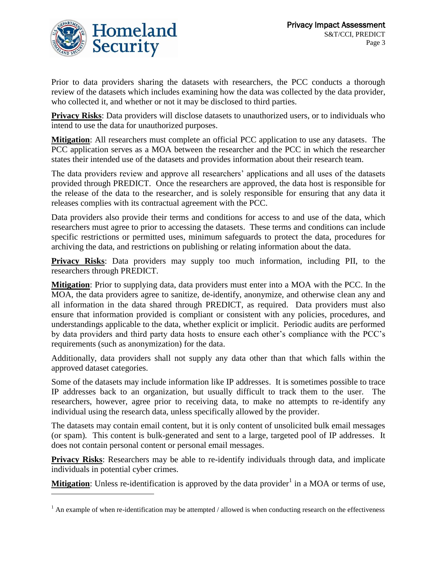

 $\overline{a}$ 

Prior to data providers sharing the datasets with researchers, the PCC conducts a thorough review of the datasets which includes examining how the data was collected by the data provider, who collected it, and whether or not it may be disclosed to third parties.

**Privacy Risks**: Data providers will disclose datasets to unauthorized users, or to individuals who intend to use the data for unauthorized purposes.

**Mitigation**: All researchers must complete an official PCC application to use any datasets. The PCC application serves as a MOA between the researcher and the PCC in which the researcher states their intended use of the datasets and provides information about their research team.

The data providers review and approve all researchers' applications and all uses of the datasets provided through PREDICT. Once the researchers are approved, the data host is responsible for the release of the data to the researcher, and is solely responsible for ensuring that any data it releases complies with its contractual agreement with the PCC.

Data providers also provide their terms and conditions for access to and use of the data, which researchers must agree to prior to accessing the datasets. These terms and conditions can include specific restrictions or permitted uses, minimum safeguards to protect the data, procedures for archiving the data, and restrictions on publishing or relating information about the data.

**Privacy Risks**: Data providers may supply too much information, including PII, to the researchers through PREDICT.

**Mitigation**: Prior to supplying data, data providers must enter into a MOA with the PCC. In the MOA, the data providers agree to sanitize, de-identify, anonymize, and otherwise clean any and all information in the data shared through PREDICT, as required. Data providers must also ensure that information provided is compliant or consistent with any policies, procedures, and understandings applicable to the data, whether explicit or implicit. Periodic audits are performed by data providers and third party data hosts to ensure each other's compliance with the PCC's requirements (such as anonymization) for the data.

Additionally, data providers shall not supply any data other than that which falls within the approved dataset categories.

Some of the datasets may include information like IP addresses. It is sometimes possible to trace IP addresses back to an organization, but usually difficult to track them to the user. The researchers, however, agree prior to receiving data, to make no attempts to re-identify any individual using the research data, unless specifically allowed by the provider.

The datasets may contain email content, but it is only content of unsolicited bulk email messages (or spam). This content is bulk-generated and sent to a large, targeted pool of IP addresses. It does not contain personal content or personal email messages.

**Privacy Risks:** Researchers may be able to re-identify individuals through data, and implicate individuals in potential cyber crimes.

**Mitigation**: Unless re-identification is approved by the data provider<sup>1</sup> in a MOA or terms of use,

 $1$  An example of when re-identification may be attempted / allowed is when conducting research on the effectiveness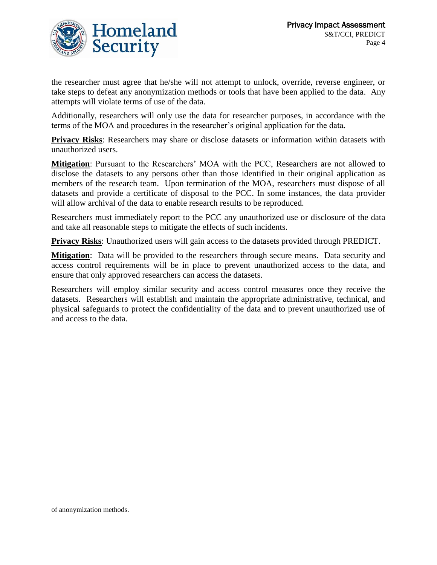

the researcher must agree that he/she will not attempt to unlock, override, reverse engineer, or take steps to defeat any anonymization methods or tools that have been applied to the data. Any attempts will violate terms of use of the data.

Additionally, researchers will only use the data for researcher purposes, in accordance with the terms of the MOA and procedures in the researcher's original application for the data.

**Privacy Risks**: Researchers may share or disclose datasets or information within datasets with unauthorized users.

**Mitigation**: Pursuant to the Researchers' MOA with the PCC, Researchers are not allowed to disclose the datasets to any persons other than those identified in their original application as members of the research team. Upon termination of the MOA, researchers must dispose of all datasets and provide a certificate of disposal to the PCC. In some instances, the data provider will allow archival of the data to enable research results to be reproduced.

Researchers must immediately report to the PCC any unauthorized use or disclosure of the data and take all reasonable steps to mitigate the effects of such incidents.

**Privacy Risks**: Unauthorized users will gain access to the datasets provided through PREDICT.

**Mitigation**: Data will be provided to the researchers through secure means. Data security and access control requirements will be in place to prevent unauthorized access to the data, and ensure that only approved researchers can access the datasets.

Researchers will employ similar security and access control measures once they receive the datasets. Researchers will establish and maintain the appropriate administrative, technical, and physical safeguards to protect the confidentiality of the data and to prevent unauthorized use of and access to the data.

 $\overline{a}$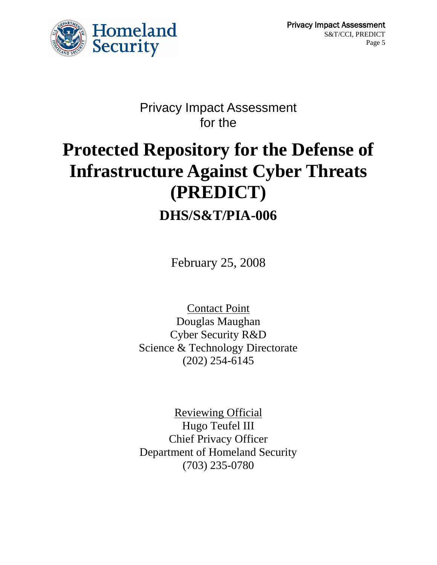

## Privacy Impact Assessment for the

# **Protected Repository for the Defense of Infrastructure Against Cyber Threats (PREDICT) DHS/S&T/PIA-006**

February 25, 2008

Contact Point Douglas Maughan Cyber Security R&D Science & Technology Directorate (202) 254-6145

Reviewing Official Hugo Teufel III Chief Privacy Officer Department of Homeland Security (703) 235-0780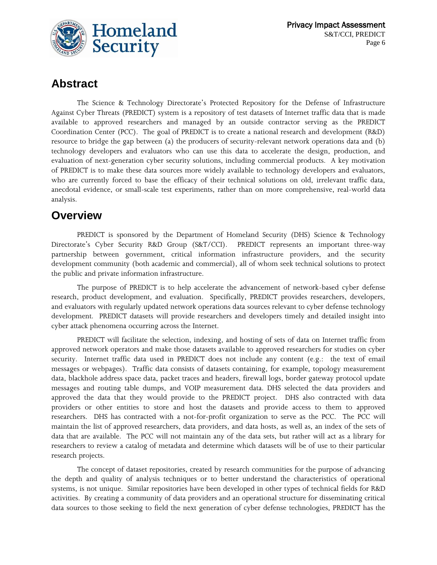

## **Abstract**

The Science & Technology Directorate's Protected Repository for the Defense of Infrastructure Against Cyber Threats (PREDICT) system is a repository of test datasets of Internet traffic data that is made available to approved researchers and managed by an outside contractor serving as the PREDICT Coordination Center (PCC). The goal of PREDICT is to create a national research and development (R&D) resource to bridge the gap between (a) the producers of security-relevant network operations data and (b) technology developers and evaluators who can use this data to accelerate the design, production, and evaluation of next-generation cyber security solutions, including commercial products. A key motivation of PREDICT is to make these data sources more widely available to technology developers and evaluators, who are currently forced to base the efficacy of their technical solutions on old, irrelevant traffic data, anecdotal evidence, or small-scale test experiments, rather than on more comprehensive, real-world data analysis.

## **Overview**

PREDICT is sponsored by the Department of Homeland Security (DHS) Science & Technology Directorate's Cyber Security R&D Group (S&T/CCI). PREDICT represents an important three-way partnership between government, critical information infrastructure providers, and the security development community (both academic and commercial), all of whom seek technical solutions to protect the public and private information infrastructure.

The purpose of PREDICT is to help accelerate the advancement of network-based cyber defense research, product development, and evaluation. Specifically, PREDICT provides researchers, developers, and evaluators with regularly updated network operations data sources relevant to cyber defense technology development. PREDICT datasets will provide researchers and developers timely and detailed insight into cyber attack phenomena occurring across the Internet.

PREDICT will facilitate the selection, indexing, and hosting of sets of data on Internet traffic from approved network operators and make those datasets available to approved researchers for studies on cyber security. Internet traffic data used in PREDICT does not include any content (e.g.: the text of email messages or webpages). Traffic data consists of datasets containing, for example, topology measurement data, blackhole address space data, packet traces and headers, firewall logs, border gateway protocol update messages and routing table dumps, and VOIP measurement data. DHS selected the data providers and approved the data that they would provide to the PREDICT project. DHS also contracted with data providers or other entities to store and host the datasets and provide access to them to approved researchers. DHS has contracted with a not-for-profit organization to serve as the PCC. The PCC will maintain the list of approved researchers, data providers, and data hosts, as well as, an index of the sets of data that are available. The PCC will not maintain any of the data sets, but rather will act as a library for researchers to review a catalog of metadata and determine which datasets will be of use to their particular research projects.

The concept of dataset repositories, created by research communities for the purpose of advancing the depth and quality of analysis techniques or to better understand the characteristics of operational systems, is not unique. Similar repositories have been developed in other types of technical fields for R&D activities. By creating a community of data providers and an operational structure for disseminating critical data sources to those seeking to field the next generation of cyber defense technologies, PREDICT has the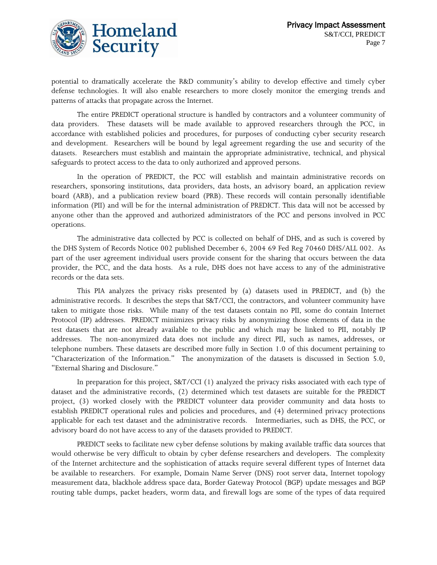

potential to dramatically accelerate the R&D community's ability to develop effective and timely cyber defense technologies. It will also enable researchers to more closely monitor the emerging trends and patterns of attacks that propagate across the Internet.

The entire PREDICT operational structure is handled by contractors and a volunteer community of data providers. These datasets will be made available to approved researchers through the PCC, in accordance with established policies and procedures, for purposes of conducting cyber security research and development. Researchers will be bound by legal agreement regarding the use and security of the datasets. Researchers must establish and maintain the appropriate administrative, technical, and physical safeguards to protect access to the data to only authorized and approved persons.

In the operation of PREDICT, the PCC will establish and maintain administrative records on researchers, sponsoring institutions, data providers, data hosts, an advisory board, an application review board (ARB), and a publication review board (PRB). These records will contain personally identifiable information (PII) and will be for the internal administration of PREDICT. This data will not be accessed by anyone other than the approved and authorized administrators of the PCC and persons involved in PCC operations.

The administrative data collected by PCC is collected on behalf of DHS, and as such is covered by the DHS System of Records Notice 002 published December 6, 2004 69 Fed Reg 70460 DHS/ALL 002. As part of the user agreement individual users provide consent for the sharing that occurs between the data provider, the PCC, and the data hosts. As a rule, DHS does not have access to any of the administrative records or the data sets.

This PIA analyzes the privacy risks presented by (a) datasets used in PREDICT, and (b) the administrative records. It describes the steps that S&T/CCI, the contractors, and volunteer community have taken to mitigate those risks. While many of the test datasets contain no PII, some do contain Internet Protocol (IP) addresses. PREDICT minimizes privacy risks by anonymizing those elements of data in the test datasets that are not already available to the public and which may be linked to PII, notably IP addresses. The non-anonymized data does not include any direct PII, such as names, addresses, or telephone numbers. These datasets are described more fully in Section 1.0 of this document pertaining to "Characterization of the Information." The anonymization of the datasets is discussed in Section 5.0, "External Sharing and Disclosure."

In preparation for this project, S&T/CCI (1) analyzed the privacy risks associated with each type of dataset and the administrative records, (2) determined which test datasets are suitable for the PREDICT project, (3) worked closely with the PREDICT volunteer data provider community and data hosts to establish PREDICT operational rules and policies and procedures, and (4) determined privacy protections applicable for each test dataset and the administrative records. Intermediaries, such as DHS, the PCC, or advisory board do not have access to any of the datasets provided to PREDICT.

PREDICT seeks to facilitate new cyber defense solutions by making available traffic data sources that would otherwise be very difficult to obtain by cyber defense researchers and developers. The complexity of the Internet architecture and the sophistication of attacks require several different types of Internet data be available to researchers. For example, Domain Name Server (DNS) root server data, Internet topology measurement data, blackhole address space data, Border Gateway Protocol (BGP) update messages and BGP routing table dumps, packet headers, worm data, and firewall logs are some of the types of data required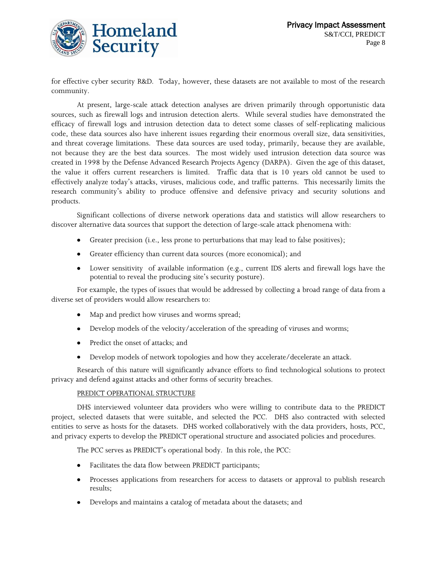

for effective cyber security R&D. Today, however, these datasets are not available to most of the research community.

At present, large-scale attack detection analyses are driven primarily through opportunistic data sources, such as firewall logs and intrusion detection alerts. While several studies have demonstrated the efficacy of firewall logs and intrusion detection data to detect some classes of self-replicating malicious code, these data sources also have inherent issues regarding their enormous overall size, data sensitivities, and threat coverage limitations. These data sources are used today, primarily, because they are available, not because they are the best data sources. The most widely used intrusion detection data source was created in 1998 by the Defense Advanced Research Projects Agency (DARPA). Given the age of this dataset, the value it offers current researchers is limited. Traffic data that is 10 years old cannot be used to effectively analyze today's attacks, viruses, malicious code, and traffic patterns. This necessarily limits the research community's ability to produce offensive and defensive privacy and security solutions and products.

Significant collections of diverse network operations data and statistics will allow researchers to discover alternative data sources that support the detection of large-scale attack phenomena with:

- Greater precision (i.e., less prone to perturbations that may lead to false positives);
- Greater efficiency than current data sources (more economical); and
- Lower sensitivity of available information (e.g., current IDS alerts and firewall logs have the potential to reveal the producing site's security posture).

For example, the types of issues that would be addressed by collecting a broad range of data from a diverse set of providers would allow researchers to:

- Map and predict how viruses and worms spread;
- Develop models of the velocity/acceleration of the spreading of viruses and worms;
- Predict the onset of attacks; and  $\bullet$
- Develop models of network topologies and how they accelerate/decelerate an attack.

Research of this nature will significantly advance efforts to find technological solutions to protect privacy and defend against attacks and other forms of security breaches.

#### PREDICT OPERATIONAL STRUCTURE

DHS interviewed volunteer data providers who were willing to contribute data to the PREDICT project, selected datasets that were suitable, and selected the PCC. DHS also contracted with selected entities to serve as hosts for the datasets. DHS worked collaboratively with the data providers, hosts, PCC, and privacy experts to develop the PREDICT operational structure and associated policies and procedures.

The PCC serves as PREDICT's operational body. In this role, the PCC:

- Facilitates the data flow between PREDICT participants;  $\bullet$
- Processes applications from researchers for access to datasets or approval to publish research  $\bullet$ results;
- Develops and maintains a catalog of metadata about the datasets; and  $\bullet$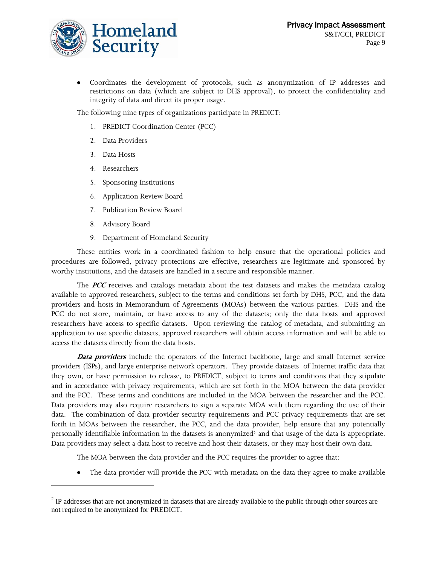

Coordinates the development of protocols, such as anonymization of IP addresses and restrictions on data (which are subject to DHS approval), to protect the confidentiality and integrity of data and direct its proper usage.

The following nine types of organizations participate in PREDICT:

- 1. PREDICT Coordination Center (PCC)
- 2. Data Providers
- 3. Data Hosts
- 4. Researchers
- 5. Sponsoring Institutions
- 6. Application Review Board
- 7. Publication Review Board
- 8. Advisory Board

l

9. Department of Homeland Security

These entities work in a coordinated fashion to help ensure that the operational policies and procedures are followed, privacy protections are effective, researchers are legitimate and sponsored by worthy institutions, and the datasets are handled in a secure and responsible manner.

The **PCC** receives and catalogs metadata about the test datasets and makes the metadata catalog available to approved researchers, subject to the terms and conditions set forth by DHS, PCC, and the data providers and hosts in Memorandum of Agreements (MOAs) between the various parties. DHS and the PCC do not store, maintain, or have access to any of the datasets; only the data hosts and approved researchers have access to specific datasets. Upon reviewing the catalog of metadata, and submitting an application to use specific datasets, approved researchers will obtain access information and will be able to access the datasets directly from the data hosts.

**Data providers** include the operators of the Internet backbone, large and small Internet service providers (ISPs), and large enterprise network operators. They provide datasets of Internet traffic data that they own, or have permission to release, to PREDICT, subject to terms and conditions that they stipulate and in accordance with privacy requirements, which are set forth in the MOA between the data provider and the PCC. These terms and conditions are included in the MOA between the researcher and the PCC. Data providers may also require researchers to sign a separate MOA with them regarding the use of their data. The combination of data provider security requirements and PCC privacy requirements that are set forth in MOAs between the researcher, the PCC, and the data provider, help ensure that any potentially personally identifiable information in the datasets is anonymized<sup>2</sup> and that usage of the data is appropriate. Data providers may select a data host to receive and host their datasets, or they may host their own data.

The MOA between the data provider and the PCC requires the provider to agree that:

The data provider will provide the PCC with metadata on the data they agree to make available

 $2^2$  IP addresses that are not anonymized in datasets that are already available to the public through other sources are not required to be anonymized for PREDICT.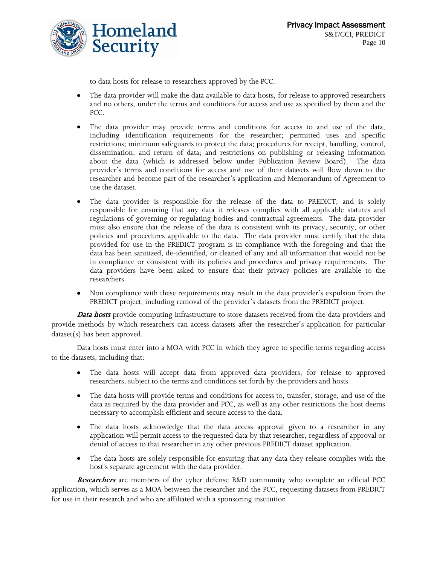

to data hosts for release to researchers approved by the PCC.

- The data provider will make the data available to data hosts, for release to approved researchers  $\bullet$ and no others, under the terms and conditions for access and use as specified by them and the PCC.
- The data provider may provide terms and conditions for access to and use of the data, including identification requirements for the researcher; permitted uses and specific restrictions; minimum safeguards to protect the data; procedures for receipt, handling, control, dissemination, and return of data; and restrictions on publishing or releasing information about the data (which is addressed below under Publication Review Board). The data provider's terms and conditions for access and use of their datasets will flow down to the researcher and become part of the researcher's application and Memorandum of Agreement to use the dataset.
- The data provider is responsible for the release of the data to PREDICT, and is solely responsible for ensuring that any data it releases complies with all applicable statutes and regulations of governing or regulating bodies and contractual agreements. The data provider must also ensure that the release of the data is consistent with its privacy, security, or other policies and procedures applicable to the data. The data provider must certify that the data provided for use in the PREDICT program is in compliance with the foregoing and that the data has been sanitized, de-identified, or cleaned of any and all information that would not be in compliance or consistent with its policies and procedures and privacy requirements. The data providers have been asked to ensure that their privacy policies are available to the researchers.
- Non compliance with these requirements may result in the data provider's expulsion from the PREDICT project, including removal of the provider's datasets from the PREDICT project.

**Data hosts** provide computing infrastructure to store datasets received from the data providers and provide methods by which researchers can access datasets after the researcher's application for particular dataset(s) has been approved.

Data hosts must enter into a MOA with PCC in which they agree to specific terms regarding access to the datasets, including that:

- The data hosts will accept data from approved data providers, for release to approved researchers, subject to the terms and conditions set forth by the providers and hosts.
- The data hosts will provide terms and conditions for access to, transfer, storage, and use of the data as required by the data provider and PCC, as well as any other restrictions the host deems necessary to accomplish efficient and secure access to the data.
- $\bullet$ The data hosts acknowledge that the data access approval given to a researcher in any application will permit access to the requested data by that researcher, regardless of approval or denial of access to that researcher in any other previous PREDICT dataset application.
- The data hosts are solely responsible for ensuring that any data they release complies with the host's separate agreement with the data provider.

**Researchers** are members of the cyber defense R&D community who complete an official PCC application, which serves as a MOA between the researcher and the PCC, requesting datasets from PREDICT for use in their research and who are affiliated with a sponsoring institution.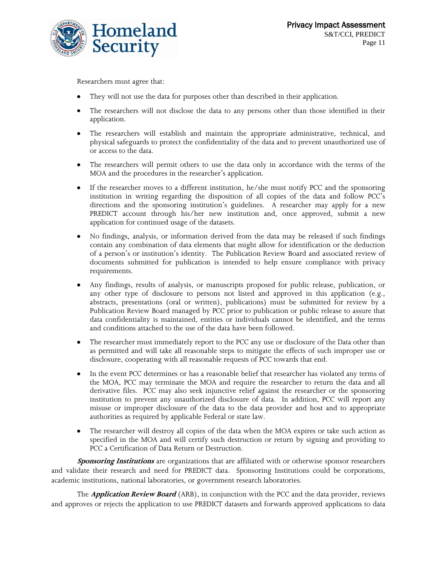

Researchers must agree that:

- They will not use the data for purposes other than described in their application.
- The researchers will not disclose the data to any persons other than those identified in their  $\bullet$ application.
- The researchers will establish and maintain the appropriate administrative, technical, and physical safeguards to protect the confidentiality of the data and to prevent unauthorized use of or access to the data.
- The researchers will permit others to use the data only in accordance with the terms of the MOA and the procedures in the researcher's application.
- If the researcher moves to a different institution, he/she must notify PCC and the sponsoring  $\bullet$ institution in writing regarding the disposition of all copies of the data and follow PCC's directions and the sponsoring institution's guidelines. A researcher may apply for a new PREDICT account through his/her new institution and, once approved, submit a new application for continued usage of the datasets.
- No findings, analysis, or information derived from the data may be released if such findings contain any combination of data elements that might allow for identification or the deduction of a person's or institution's identity. The Publication Review Board and associated review of documents submitted for publication is intended to help ensure compliance with privacy requirements.
- Any findings, results of analysis, or manuscripts proposed for public release, publication, or any other type of disclosure to persons not listed and approved in this application (e.g., abstracts, presentations (oral or written), publications) must be submitted for review by a Publication Review Board managed by PCC prior to publication or public release to assure that data confidentiality is maintained, entities or individuals cannot be identified, and the terms and conditions attached to the use of the data have been followed.
- The researcher must immediately report to the PCC any use or disclosure of the Data other than as permitted and will take all reasonable steps to mitigate the effects of such improper use or disclosure, cooperating with all reasonable requests of PCC towards that end.
- In the event PCC determines or has a reasonable belief that researcher has violated any terms of  $\bullet$ the MOA, PCC may terminate the MOA and require the researcher to return the data and all derivative files. PCC may also seek injunctive relief against the researcher or the sponsoring institution to prevent any unauthorized disclosure of data. In addition, PCC will report any misuse or improper disclosure of the data to the data provider and host and to appropriate authorities as required by applicable Federal or state law.
- The researcher will destroy all copies of the data when the MOA expires or take such action as specified in the MOA and will certify such destruction or return by signing and providing to PCC a Certification of Data Return or Destruction.

**Sponsoring Institutions** are organizations that are affiliated with or otherwise sponsor researchers and validate their research and need for PREDICT data. Sponsoring Institutions could be corporations, academic institutions, national laboratories, or government research laboratories.

The **Application Review Board** (ARB), in conjunction with the PCC and the data provider, reviews and approves or rejects the application to use PREDICT datasets and forwards approved applications to data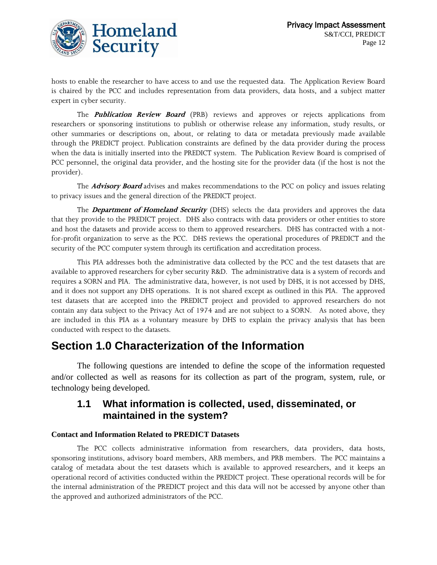

hosts to enable the researcher to have access to and use the requested data. The Application Review Board is chaired by the PCC and includes representation from data providers, data hosts, and a subject matter expert in cyber security.

The **Publication Review Board** (PRB) reviews and approves or rejects applications from researchers or sponsoring institutions to publish or otherwise release any information, study results, or other summaries or descriptions on, about, or relating to data or metadata previously made available through the PREDICT project. Publication constraints are defined by the data provider during the process when the data is initially inserted into the PREDICT system. The Publication Review Board is comprised of PCC personnel, the original data provider, and the hosting site for the provider data (if the host is not the provider).

The **Advisory Board** advises and makes recommendations to the PCC on policy and issues relating to privacy issues and the general direction of the PREDICT project.

The **Department of Homeland Security** (DHS) selects the data providers and approves the data that they provide to the PREDICT project. DHS also contracts with data providers or other entities to store and host the datasets and provide access to them to approved researchers. DHS has contracted with a notfor-profit organization to serve as the PCC. DHS reviews the operational procedures of PREDICT and the security of the PCC computer system through its certification and accreditation process.

This PIA addresses both the administrative data collected by the PCC and the test datasets that are available to approved researchers for cyber security R&D. The administrative data is a system of records and requires a SORN and PIA. The administrative data, however, is not used by DHS, it is not accessed by DHS, and it does not support any DHS operations. It is not shared except as outlined in this PIA. The approved test datasets that are accepted into the PREDICT project and provided to approved researchers do not contain any data subject to the Privacy Act of 1974 and are not subject to a SORN. As noted above, they are included in this PIA as a voluntary measure by DHS to explain the privacy analysis that has been conducted with respect to the datasets.

## **Section 1.0 Characterization of the Information**

The following questions are intended to define the scope of the information requested and/or collected as well as reasons for its collection as part of the program, system, rule, or technology being developed.

## **1.1 What information is collected, used, disseminated, or maintained in the system?**

#### **Contact and Information Related to PREDICT Datasets**

The PCC collects administrative information from researchers, data providers, data hosts, sponsoring institutions, advisory board members, ARB members, and PRB members. The PCC maintains a catalog of metadata about the test datasets which is available to approved researchers, and it keeps an operational record of activities conducted within the PREDICT project. These operational records will be for the internal administration of the PREDICT project and this data will not be accessed by anyone other than the approved and authorized administrators of the PCC.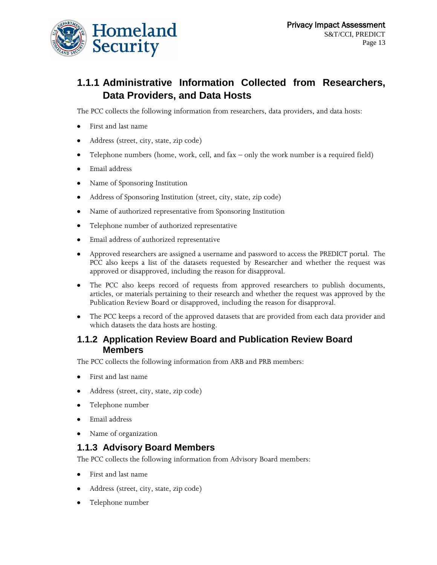

## **1.1.1 Administrative Information Collected from Researchers, Data Providers, and Data Hosts**

The PCC collects the following information from researchers, data providers, and data hosts:

- First and last name  $\bullet$
- $\bullet$ Address (street, city, state, zip code)
- Telephone numbers (home, work, cell, and fax only the work number is a required field)  $\bullet$
- Email address  $\bullet$
- Name of Sponsoring Institution  $\bullet$
- Address of Sponsoring Institution (street, city, state, zip code)  $\bullet$
- Name of authorized representative from Sponsoring Institution  $\bullet$
- Telephone number of authorized representative  $\bullet$
- Email address of authorized representative  $\bullet$
- $\bullet$ Approved researchers are assigned a username and password to access the PREDICT portal. The PCC also keeps a list of the datasets requested by Researcher and whether the request was approved or disapproved, including the reason for disapproval.
- The PCC also keeps record of requests from approved researchers to publish documents,  $\bullet$ articles, or materials pertaining to their research and whether the request was approved by the Publication Review Board or disapproved, including the reason for disapproval.
- The PCC keeps a record of the approved datasets that are provided from each data provider and which datasets the data hosts are hosting.

#### **1.1.2 Application Review Board and Publication Review Board Members**

The PCC collects the following information from ARB and PRB members:

- First and last name
- $\bullet$ Address (street, city, state, zip code)
- $\bullet$ Telephone number
- Email address  $\bullet$
- Name of organization

### **1.1.3 Advisory Board Members**

The PCC collects the following information from Advisory Board members:

- First and last name  $\bullet$
- Address (street, city, state, zip code)
- Telephone number $\bullet$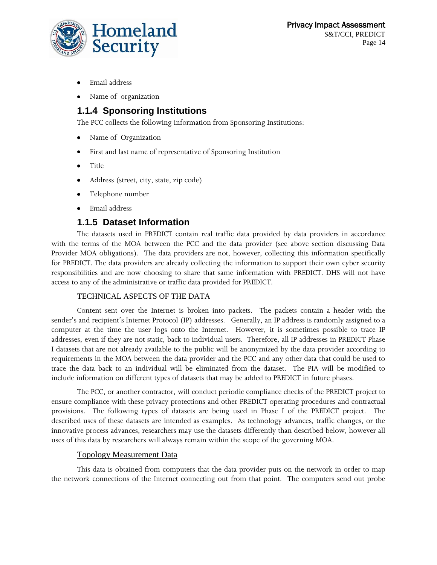

- Email address
- Name of organization

## **1.1.4 Sponsoring Institutions**

The PCC collects the following information from Sponsoring Institutions:

- Name of Organization
- First and last name of representative of Sponsoring Institution
- $\bullet$ Title
- Address (street, city, state, zip code)  $\bullet$
- Telephone number
- Email address

#### **1.1.5 Dataset Information**

The datasets used in PREDICT contain real traffic data provided by data providers in accordance with the terms of the MOA between the PCC and the data provider (see above section discussing Data Provider MOA obligations). The data providers are not, however, collecting this information specifically for PREDICT. The data providers are already collecting the information to support their own cyber security responsibilities and are now choosing to share that same information with PREDICT. DHS will not have access to any of the administrative or traffic data provided for PREDICT.

#### TECHNICAL ASPECTS OF THE DATA

Content sent over the Internet is broken into packets. The packets contain a header with the sender's and recipient's Internet Protocol (IP) addresses. Generally, an IP address is randomly assigned to a computer at the time the user logs onto the Internet. However, it is sometimes possible to trace IP addresses, even if they are not static, back to individual users. Therefore, all IP addresses in PREDICT Phase I datasets that are not already available to the public will be anonymized by the data provider according to requirements in the MOA between the data provider and the PCC and any other data that could be used to trace the data back to an individual will be eliminated from the dataset. The PIA will be modified to include information on different types of datasets that may be added to PREDICT in future phases.

The PCC, or another contractor, will conduct periodic compliance checks of the PREDICT project to ensure compliance with these privacy protections and other PREDICT operating procedures and contractual provisions.The following types of datasets are being used in Phase I of the PREDICT project. The described uses of these datasets are intended as examples. As technology advances, traffic changes, or the innovative process advances, researchers may use the datasets differently than described below, however all uses of this data by researchers will always remain within the scope of the governing MOA.

#### Topology Measurement Data

This data is obtained from computers that the data provider puts on the network in order to map the network connections of the Internet connecting out from that point. The computers send out probe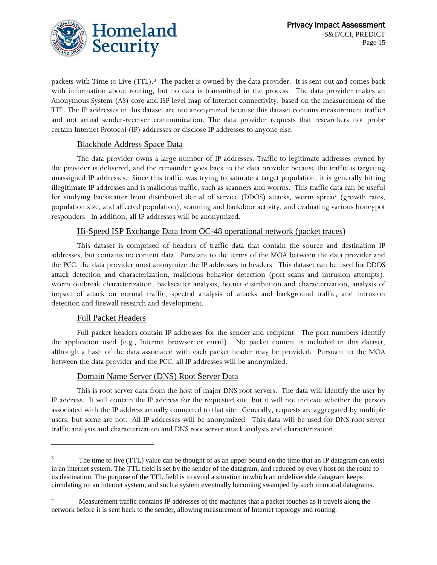

packets with Time to Live (TTL).3 The packet is owned by the data provider. It is sent out and comes back with information about routing, but no data is transmitted in the process. The data provider makes an Anonymous System (AS) core and ISP level map of Internet connectivity, based on the measurement of the TTL. The IP addresses in this dataset are not anonymized because this dataset contains measurement traffic<sup>4</sup> and not actual sender-receiver communication. The data provider requests that researchers not probe certain Internet Protocol (IP) addresses or disclose IP addresses to anyone else.

#### Blackhole Address Space Data

The data provider owns a large number of IP addresses. Traffic to legitimate addresses owned by the provider is delivered, and the remainder goes back to the data provider because the traffic is targeting unassigned IP addresses. Since this traffic was trying to saturate a target population, it is generally hitting illegitimate IP addresses and is malicious traffic, such as scanners and worms. This traffic data can be useful for studying backscatter from distributed denial of service (DDOS) attacks, worm spread (growth rates, population size, and affected population), scanning and backdoor activity, and evaluating various honeypot responders. In addition, all IP addresses will be anonymized.

#### Hi-Speed ISP Exchange Data from OC-48 operational network (packet traces)

This dataset is comprised of headers of traffic data that contain the source and destination IP addresses, but contains no content data. Pursuant to the terms of the MOA between the data provider and the PCC, the data provider must anonymize the IP addresses in headers. This dataset can be used for DDOS attack detection and characterization, malicious behavior detection (port scans and intrusion attempts), worm outbreak characterization, backscatter analysis, botnet distribution and characterization, analysis of impact of attack on normal traffic, spectral analysis of attacks and background traffic, and intrusion detection and firewall research and development.

#### Full Packet Headers

 $\overline{a}$ 

Full packet headers contain IP addresses for the sender and recipient. The port numbers identify the application used (e.g., Internet browser or email). No packet content is included in this dataset, although a hash of the data associated with each packet header may be provided. Pursuant to the MOA between the data provider and the PCC, all IP addresses will be anonymized.

#### Domain Name Server (DNS) Root Server Data

This is root server data from the host of major DNS root servers. The data will identify the user by IP address. It will contain the IP address for the requested site, but it will not indicate whether the person associated with the IP address actually connected to that site. Generally, requests are aggregated by multiple users, but some are not. All IP addresses will be anonymized. This data will be used for DNS root server traffic analysis and characterization and DNS root server attack analysis and characterization.

<sup>&</sup>lt;sup>3</sup> The time to live (TTL) value can be thought of as an upper bound on the time that an IP datagram can exist in an internet system. The TTL field is set by the sender of the datagram, and reduced by every host on the route to its destination. The purpose of the TTL field is to avoid a situation in which an undeliverable datagram keeps circulating on an internet system, and such a system eventually becoming swamped by such immortal datagrams.

<sup>&</sup>lt;sup>4</sup> Measurement traffic contains IP addresses of the machines that a packet touches as it travels along the network before it is sent back to the sender, allowing measurement of Internet topology and routing.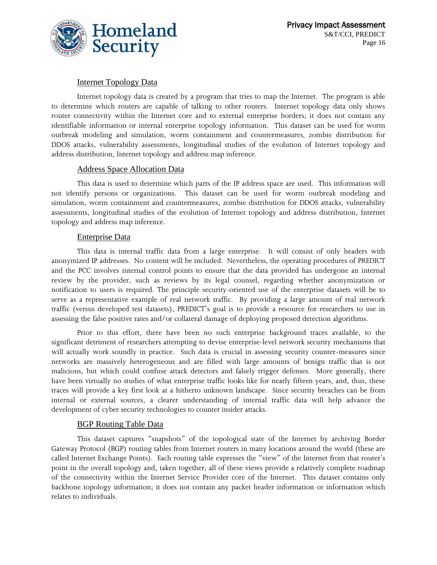

#### Internet Topology Data

Internet topology data is created by a program that tries to map the Internet. The program is able to determine which routers are capable of talking to other routers. Internet topology data only shows router connectivity within the Internet core and to external enterprise borders; it does not contain any identifiable information or internal enterprise topology information. This dataset can be used for worm outbreak modeling and simulation, worm containment and countermeasures, zombie distribution for DDOS attacks, vulnerability assessments, longitudinal studies of the evolution of Internet topology and address distribution, Internet topology and address map inference.

#### Address Space Allocation Data

This data is used to determine which parts of the IP address space are used. This information will not identify persons or organizations. This dataset can be used for worm outbreak modeling and simulation, worm containment and countermeasures, zombie distribution for DDOS attacks, vulnerability assessments, longitudinal studies of the evolution of Internet topology and address distribution, Internet topology and address map inference.

#### Enterprise Data

This data is internal traffic data from a large enterprise. It will consist of only headers with anonymized IP addresses. No content will be included. Nevertheless, the operating procedures of PREDICT and the PCC involves internal control points to ensure that the data provided has undergone an internal review by the provider, such as reviews by its legal counsel, regarding whether anonymization or notification to users is required. The principle security-oriented use of the enterprise datasets will be to serve as a representative example of real network traffic. By providing a large amount of real network traffic (versus developed test datasets), PREDICT's goal is to provide a resource for researchers to use in assessing the false positive rates and/or collateral damage of deploying proposed detection algorithms.

Prior to this effort, there have been no such enterprise background traces available, to the significant detriment of researchers attempting to devise enterprise-level network security mechanisms that will actually work soundly in practice. Such data is crucial in assessing security counter-measures since networks are massively heterogeneous and are filled with large amounts of benign traffic that is not malicious, but which could confuse attack detectors and falsely trigger defenses. More generally, there have been virtually no studies of what enterprise traffic looks like for nearly fifteen years, and, thus, these traces will provide a key first look at a hitherto unknown landscape. Since security breaches can be from internal or external sources, a clearer understanding of internal traffic data will help advance the development of cyber security technologies to counter insider attacks.

#### BGP Routing Table Data

This dataset captures "snapshots" of the topological state of the Internet by archiving Border Gateway Protocol (BGP) routing tables from Internet routers in many locations around the world (these are called Internet Exchange Points). Each routing table expresses the "view" of the Internet from that router's point in the overall topology and, taken together, all of these views provide a relatively complete roadmap of the connectivity within the Internet Service Provider core of the Internet. This dataset contains only backbone topology information; it does not contain any packet header information or information which relates to individuals.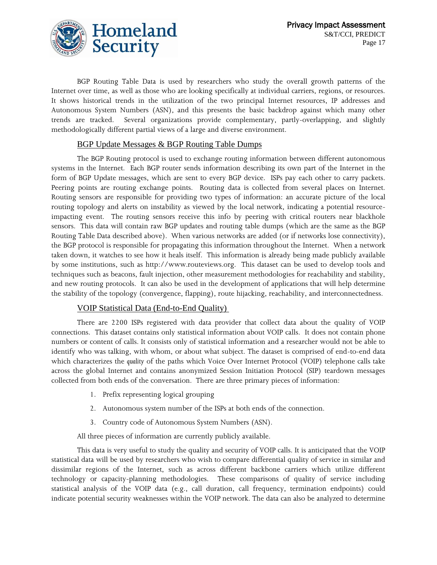

BGP Routing Table Data is used by researchers who study the overall growth patterns of the Internet over time, as well as those who are looking specifically at individual carriers, regions, or resources. It shows historical trends in the utilization of the two principal Internet resources, IP addresses and Autonomous System Numbers (ASN), and this presents the basic backdrop against which many other trends are tracked. Several organizations provide complementary, partly-overlapping, and slightly methodologically different partial views of a large and diverse environment.

#### BGP Update Messages & BGP Routing Table Dumps

The BGP Routing protocol is used to exchange routing information between different autonomous systems in the Internet. Each BGP router sends information describing its own part of the Internet in the form of BGP Update messages, which are sent to every BGP device. ISPs pay each other to carry packets. Peering points are routing exchange points. Routing data is collected from several places on Internet. Routing sensors are responsible for providing two types of information: an accurate picture of the local routing topology and alerts on instability as viewed by the local network, indicating a potential resourceimpacting event. The routing sensors receive this info by peering with critical routers near blackhole sensors. This data will contain raw BGP updates and routing table dumps (which are the same as the BGP Routing Table Data described above). When various networks are added (or if networks lose connectivity), the BGP protocol is responsible for propagating this information throughout the Internet. When a network taken down, it watches to see how it heals itself. This information is already being made publicly available by some institutions, such as http://www.routeviews.org. This dataset can be used to develop tools and techniques such as beacons, fault injection, other measurement methodologies for reachability and stability, and new routing protocols. It can also be used in the development of applications that will help determine the stability of the topology (convergence, flapping), route hijacking, reachability, and interconnectedness.

#### VOIP Statistical Data (End-to-End Quality)

There are 2200 ISPs registered with data provider that collect data about the quality of VOIP connections. This dataset contains only statistical information about VOIP calls. It does not contain phone numbers or content of calls. It consists only of statistical information and a researcher would not be able to identify who was talking, with whom, or about what subject. The dataset is comprised of end-to-end data which characterizes the *quality* of the paths which Voice Over Internet Protocol (VOIP) telephone calls take across the global Internet and contains anonymized Session Initiation Protocol (SIP) teardown messages collected from both ends of the conversation. There are three primary pieces of information:

- 1. Prefix representing logical grouping
- 2. Autonomous system number of the ISPs at both ends of the connection.
- 3. Country code of Autonomous System Numbers (ASN).

All three pieces of information are currently publicly available.

This data is very useful to study the quality and security of VOIP calls. It is anticipated that the VOIP statistical data will be used by researchers who wish to compare differential quality of service in similar and dissimilar regions of the Internet, such as across different backbone carriers which utilize different technology or capacity-planning methodologies. These comparisons of quality of service including statistical analysis of the VOIP data (e.g., call duration, call frequency, termination endpoints) could indicate potential security weaknesses within the VOIP network. The data can also be analyzed to determine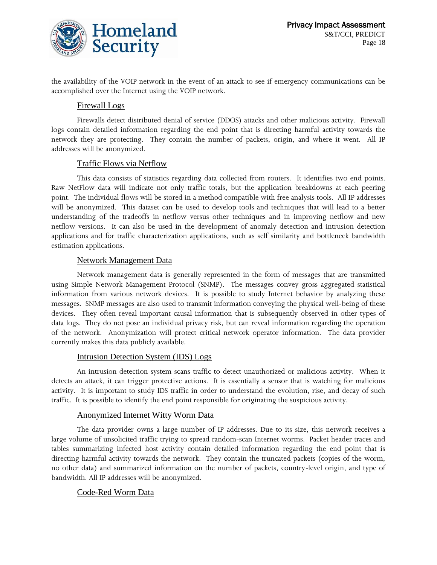

the availability of the VOIP network in the event of an attack to see if emergency communications can be accomplished over the Internet using the VOIP network.

#### Firewall Logs

Firewalls detect distributed denial of service (DDOS) attacks and other malicious activity. Firewall logs contain detailed information regarding the end point that is directing harmful activity towards the network they are protecting. They contain the number of packets, origin, and where it went. All IP addresses will be anonymized.

#### Traffic Flows via Netflow

This data consists of statistics regarding data collected from routers. It identifies two end points. Raw NetFlow data will indicate not only traffic totals, but the application breakdowns at each peering point. The individual flows will be stored in a method compatible with free analysis tools. All IP addresses will be anonymized. This dataset can be used to develop tools and techniques that will lead to a better understanding of the tradeoffs in netflow versus other techniques and in improving netflow and new netflow versions. It can also be used in the development of anomaly detection and intrusion detection applications and for traffic characterization applications, such as self similarity and bottleneck bandwidth estimation applications.

#### Network Management Data

Network management data is generally represented in the form of messages that are transmitted using Simple Network Management Protocol (SNMP). The messages convey gross aggregated statistical information from various network devices. It is possible to study Internet behavior by analyzing these messages. SNMP messages are also used to transmit information conveying the physical well-being of these devices. They often reveal important causal information that is subsequently observed in other types of data logs. They do not pose an individual privacy risk, but can reveal information regarding the operation of the network. Anonymization will protect critical network operator information. The data provider currently makes this data publicly available.

#### Intrusion Detection System (IDS) Logs

An intrusion detection system scans traffic to detect unauthorized or malicious activity. When it detects an attack, it can trigger protective actions. It is essentially a sensor that is watching for malicious activity. It is important to study IDS traffic in order to understand the evolution, rise, and decay of such traffic. It is possible to identify the end point responsible for originating the suspicious activity.

#### Anonymized Internet Witty Worm Data

The data provider owns a large number of IP addresses. Due to its size, this network receives a large volume of unsolicited traffic trying to spread random-scan Internet worms. Packet header traces and tables summarizing infected host activity contain detailed information regarding the end point that is directing harmful activity towards the network. They contain the truncated packets (copies of the worm, no other data) and summarized information on the number of packets, country-level origin, and type of bandwidth. All IP addresses will be anonymized.

#### Code-Red Worm Data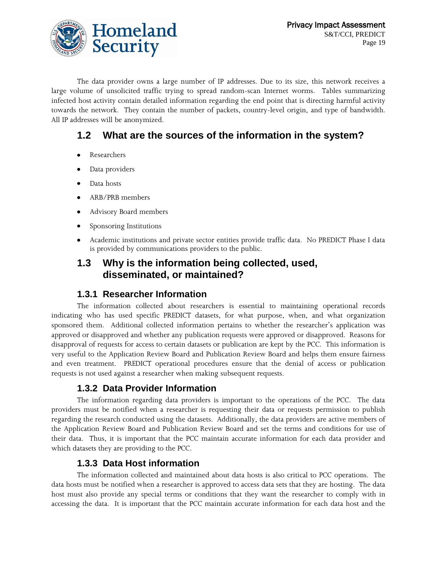

The data provider owns a large number of IP addresses. Due to its size, this network receives a large volume of unsolicited traffic trying to spread random-scan Internet worms. Tables summarizing infected host activity contain detailed information regarding the end point that is directing harmful activity towards the network. They contain the number of packets, country-level origin, and type of bandwidth. All IP addresses will be anonymized.

## **1.2 What are the sources of the information in the system?**

- $\bullet$ Researchers
- Data providers
- Data hosts
- ARB/PRB members
- Advisory Board members
- Sponsoring Institutions
- Academic institutions and private sector entities provide traffic data. No PREDICT Phase I data is provided by communications providers to the public.

## **1.3 Why is the information being collected, used, disseminated, or maintained?**

#### **1.3.1 Researcher Information**

The information collected about researchers is essential to maintaining operational records indicating who has used specific PREDICT datasets, for what purpose, when, and what organization sponsored them. Additional collected information pertains to whether the researcher's application was approved or disapproved and whether any publication requests were approved or disapproved. Reasons for disapproval of requests for access to certain datasets or publication are kept by the PCC. This information is very useful to the Application Review Board and Publication Review Board and helps them ensure fairness and even treatment. PREDICT operational procedures ensure that the denial of access or publication requests is not used against a researcher when making subsequent requests.

### **1.3.2 Data Provider Information**

The information regarding data providers is important to the operations of the PCC. The data providers must be notified when a researcher is requesting their data or requests permission to publish regarding the research conducted using the datasets. Additionally, the data providers are active members of the Application Review Board and Publication Review Board and set the terms and conditions for use of their data. Thus, it is important that the PCC maintain accurate information for each data provider and which datasets they are providing to the PCC.

### **1.3.3 Data Host information**

The information collected and maintained about data hosts is also critical to PCC operations. The data hosts must be notified when a researcher is approved to access data sets that they are hosting. The data host must also provide any special terms or conditions that they want the researcher to comply with in accessing the data. It is important that the PCC maintain accurate information for each data host and the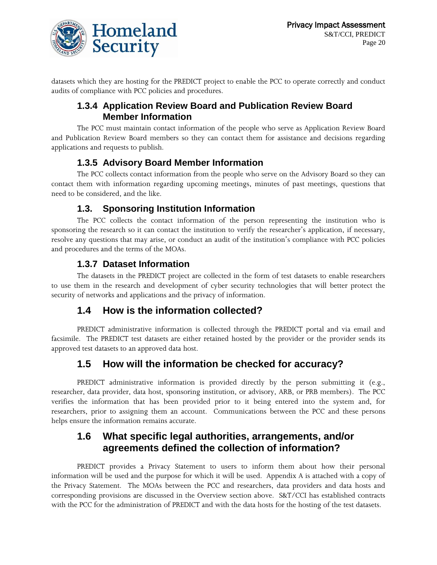

datasets which they are hosting for the PREDICT project to enable the PCC to operate correctly and conduct audits of compliance with PCC policies and procedures.

## **1.3.4 Application Review Board and Publication Review Board Member Information**

The PCC must maintain contact information of the people who serve as Application Review Board and Publication Review Board members so they can contact them for assistance and decisions regarding applications and requests to publish.

## **1.3.5 Advisory Board Member Information**

The PCC collects contact information from the people who serve on the Advisory Board so they can contact them with information regarding upcoming meetings, minutes of past meetings, questions that need to be considered, and the like.

## **1.3. Sponsoring Institution Information**

The PCC collects the contact information of the person representing the institution who is sponsoring the research so it can contact the institution to verify the researcher's application, if necessary, resolve any questions that may arise, or conduct an audit of the institution's compliance with PCC policies and procedures and the terms of the MOAs.

## **1.3.7 Dataset Information**

The datasets in the PREDICT project are collected in the form of test datasets to enable researchers to use them in the research and development of cyber security technologies that will better protect the security of networks and applications and the privacy of information.

## **1.4 How is the information collected?**

PREDICT administrative information is collected through the PREDICT portal and via email and facsimile. The PREDICT test datasets are either retained hosted by the provider or the provider sends its approved test datasets to an approved data host.

## **1.5 How will the information be checked for accuracy?**

PREDICT administrative information is provided directly by the person submitting it (e.g., researcher, data provider, data host, sponsoring institution, or advisory, ARB, or PRB members). The PCC verifies the information that has been provided prior to it being entered into the system and, for researchers, prior to assigning them an account. Communications between the PCC and these persons helps ensure the information remains accurate.

## **1.6 What specific legal authorities, arrangements, and/or agreements defined the collection of information?**

PREDICT provides a Privacy Statement to users to inform them about how their personal information will be used and the purpose for which it will be used. Appendix A is attached with a copy of the Privacy Statement. The MOAs between the PCC and researchers, data providers and data hosts and corresponding provisions are discussed in the Overview section above. S&T/CCI has established contracts with the PCC for the administration of PREDICT and with the data hosts for the hosting of the test datasets.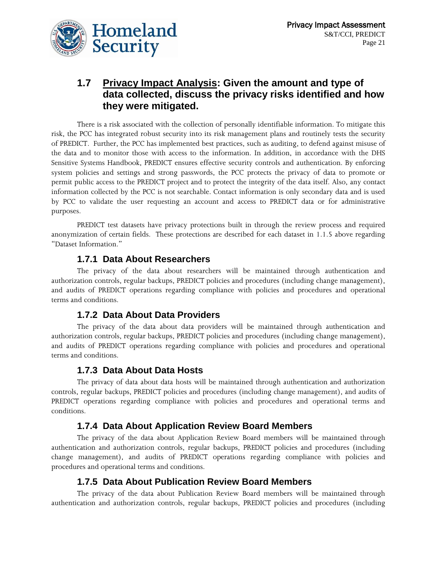

## **1.7 Privacy Impact Analysis: Given the amount and type of data collected, discuss the privacy risks identified and how they were mitigated.**

There is a risk associated with the collection of personally identifiable information. To mitigate this risk, the PCC has integrated robust security into its risk management plans and routinely tests the security of PREDICT. Further, the PCC has implemented best practices, such as auditing, to defend against misuse of the data and to monitor those with access to the information. In addition, in accordance with the DHS Sensitive Systems Handbook, PREDICT ensures effective security controls and authentication. By enforcing system policies and settings and strong passwords, the PCC protects the privacy of data to promote or permit public access to the PREDICT project and to protect the integrity of the data itself. Also, any contact information collected by the PCC is not searchable. Contact information is only secondary data and is used by PCC to validate the user requesting an account and access to PREDICT data or for administrative purposes.

PREDICT test datasets have privacy protections built in through the review process and required anonymization of certain fields. These protections are described for each dataset in 1.1.5 above regarding "Dataset Information."

#### **1.7.1 Data About Researchers**

The privacy of the data about researchers will be maintained through authentication and authorization controls, regular backups, PREDICT policies and procedures (including change management), and audits of PREDICT operations regarding compliance with policies and procedures and operational terms and conditions.

### **1.7.2 Data About Data Providers**

The privacy of the data about data providers will be maintained through authentication and authorization controls, regular backups, PREDICT policies and procedures (including change management), and audits of PREDICT operations regarding compliance with policies and procedures and operational terms and conditions.

### **1.7.3 Data About Data Hosts**

The privacy of data about data hosts will be maintained through authentication and authorization controls, regular backups, PREDICT policies and procedures (including change management), and audits of PREDICT operations regarding compliance with policies and procedures and operational terms and conditions.

### **1.7.4 Data About Application Review Board Members**

The privacy of the data about Application Review Board members will be maintained through authentication and authorization controls, regular backups, PREDICT policies and procedures (including change management), and audits of PREDICT operations regarding compliance with policies and procedures and operational terms and conditions.

### **1.7.5 Data About Publication Review Board Members**

The privacy of the data about Publication Review Board members will be maintained through authentication and authorization controls, regular backups, PREDICT policies and procedures (including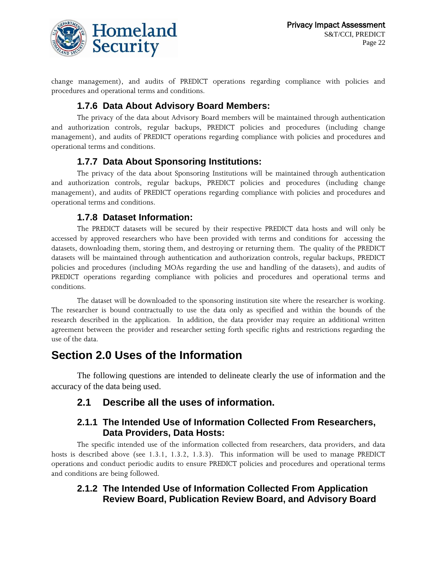

change management), and audits of PREDICT operations regarding compliance with policies and procedures and operational terms and conditions.

## **1.7.6 Data About Advisory Board Members:**

The privacy of the data about Advisory Board members will be maintained through authentication and authorization controls, regular backups, PREDICT policies and procedures (including change management), and audits of PREDICT operations regarding compliance with policies and procedures and operational terms and conditions.

## **1.7.7 Data About Sponsoring Institutions:**

The privacy of the data about Sponsoring Institutions will be maintained through authentication and authorization controls, regular backups, PREDICT policies and procedures (including change management), and audits of PREDICT operations regarding compliance with policies and procedures and operational terms and conditions.

## **1.7.8 Dataset Information:**

The PREDICT datasets will be secured by their respective PREDICT data hosts and will only be accessed by approved researchers who have been provided with terms and conditions for accessing the datasets, downloading them, storing them, and destroying or returning them. The quality of the PREDICT datasets will be maintained through authentication and authorization controls, regular backups, PREDICT policies and procedures (including MOAs regarding the use and handling of the datasets), and audits of PREDICT operations regarding compliance with policies and procedures and operational terms and conditions.

The dataset will be downloaded to the sponsoring institution site where the researcher is working. The researcher is bound contractually to use the data only as specified and within the bounds of the research described in the application. In addition, the data provider may require an additional written agreement between the provider and researcher setting forth specific rights and restrictions regarding the use of the data.

## **Section 2.0 Uses of the Information**

The following questions are intended to delineate clearly the use of information and the accuracy of the data being used.

## **2.1 Describe all the uses of information.**

## **2.1.1 The Intended Use of Information Collected From Researchers, Data Providers, Data Hosts:**

The specific intended use of the information collected from researchers, data providers, and data hosts is described above (see 1.3.1, 1.3.2, 1.3.3). This information will be used to manage PREDICT operations and conduct periodic audits to ensure PREDICT policies and procedures and operational terms and conditions are being followed.

## **2.1.2 The Intended Use of Information Collected From Application Review Board, Publication Review Board, and Advisory Board**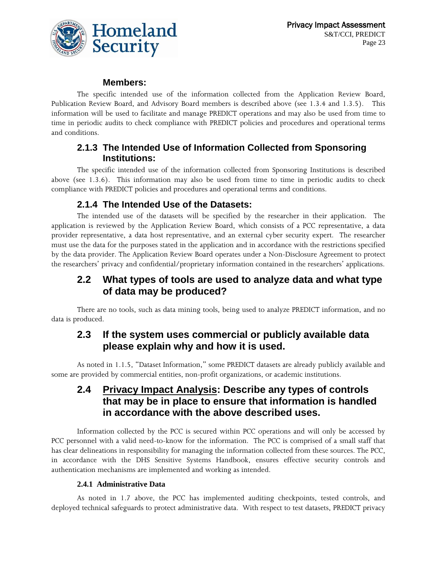

#### **Members:**

The specific intended use of the information collected from the Application Review Board, Publication Review Board, and Advisory Board members is described above (see 1.3.4 and 1.3.5). This information will be used to facilitate and manage PREDICT operations and may also be used from time to time in periodic audits to check compliance with PREDICT policies and procedures and operational terms and conditions.

## **2.1.3 The Intended Use of Information Collected from Sponsoring Institutions:**

The specific intended use of the information collected from Sponsoring Institutions is described above (see 1.3.6). This information may also be used from time to time in periodic audits to check compliance with PREDICT policies and procedures and operational terms and conditions.

## **2.1.4 The Intended Use of the Datasets:**

The intended use of the datasets will be specified by the researcher in their application. The application is reviewed by the Application Review Board, which consists of a PCC representative, a data provider representative, a data host representative, and an external cyber security expert. The researcher must use the data for the purposes stated in the application and in accordance with the restrictions specified by the data provider. The Application Review Board operates under a Non-Disclosure Agreement to protect the researchers' privacy and confidential/proprietary information contained in the researchers' applications.

## **2.2 What types of tools are used to analyze data and what type of data may be produced?**

There are no tools, such as data mining tools, being used to analyze PREDICT information, and no data is produced.

## **2.3 If the system uses commercial or publicly available data please explain why and how it is used.**

As noted in 1.1.5, "Dataset Information," some PREDICT datasets are already publicly available and some are provided by commercial entities, non-profit organizations, or academic institutions.

## **2.4 Privacy Impact Analysis: Describe any types of controls that may be in place to ensure that information is handled in accordance with the above described uses.**

Information collected by the PCC is secured within PCC operations and will only be accessed by PCC personnel with a valid need-to-know for the information. The PCC is comprised of a small staff that has clear delineations in responsibility for managing the information collected from these sources. The PCC, in accordance with the DHS Sensitive Systems Handbook, ensures effective security controls and authentication mechanisms are implemented and working as intended.

#### **2.4.1 Administrative Data**

As noted in 1.7 above, the PCC has implemented auditing checkpoints, tested controls, and deployed technical safeguards to protect administrative data. With respect to test datasets, PREDICT privacy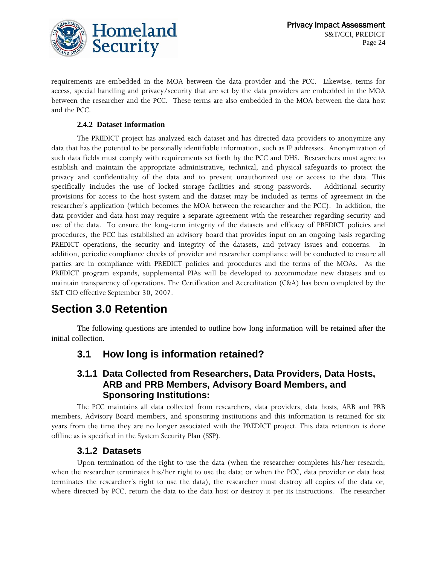

requirements are embedded in the MOA between the data provider and the PCC. Likewise, terms for access, special handling and privacy/security that are set by the data providers are embedded in the MOA between the researcher and the PCC. These terms are also embedded in the MOA between the data host and the PCC.

#### **2.4.2 Dataset Information**

The PREDICT project has analyzed each dataset and has directed data providers to anonymize any data that has the potential to be personally identifiable information, such as IP addresses. Anonymization of such data fields must comply with requirements set forth by the PCC and DHS. Researchers must agree to establish and maintain the appropriate administrative, technical, and physical safeguards to protect the privacy and confidentiality of the data and to prevent unauthorized use or access to the data. This specifically includes the use of locked storage facilities and strong passwords. Additional security provisions for access to the host system and the dataset may be included as terms of agreement in the researcher's application (which becomes the MOA between the researcher and the PCC). In addition, the data provider and data host may require a separate agreement with the researcher regarding security and use of the data. To ensure the long-term integrity of the datasets and efficacy of PREDICT policies and procedures, the PCC has established an advisory board that provides input on an ongoing basis regarding PREDICT operations, the security and integrity of the datasets, and privacy issues and concerns. In addition, periodic compliance checks of provider and researcher compliance will be conducted to ensure all parties are in compliance with PREDICT policies and procedures and the terms of the MOAs. As the PREDICT program expands, supplemental PIAs will be developed to accommodate new datasets and to maintain transparency of operations. The Certification and Accreditation (C&A) has been completed by the S&T CIO effective September 30, 2007.

## **Section 3.0 Retention**

The following questions are intended to outline how long information will be retained after the initial collection.

## **3.1 How long is information retained?**

#### **3.1.1 Data Collected from Researchers, Data Providers, Data Hosts, ARB and PRB Members, Advisory Board Members, and Sponsoring Institutions:**

The PCC maintains all data collected from researchers, data providers, data hosts, ARB and PRB members, Advisory Board members, and sponsoring institutions and this information is retained for six years from the time they are no longer associated with the PREDICT project. This data retention is done offline as is specified in the System Security Plan (SSP).

#### **3.1.2 Datasets**

Upon termination of the right to use the data (when the researcher completes his/her research; when the researcher terminates his/her right to use the data; or when the PCC, data provider or data host terminates the researcher's right to use the data), the researcher must destroy all copies of the data or, where directed by PCC, return the data to the data host or destroy it per its instructions. The researcher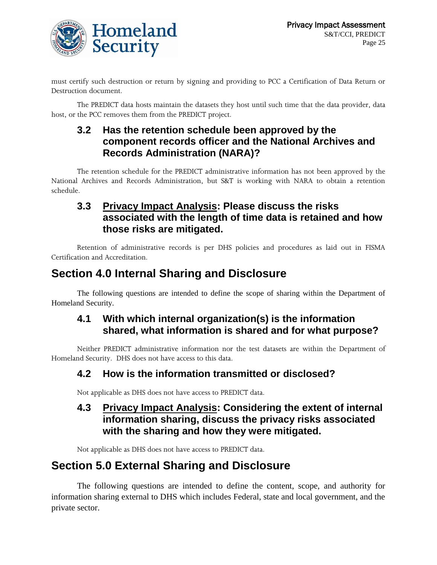

must certify such destruction or return by signing and providing to PCC a Certification of Data Return or Destruction document.

The PREDICT data hosts maintain the datasets they host until such time that the data provider, data host, or the PCC removes them from the PREDICT project.

## **3.2 Has the retention schedule been approved by the component records officer and the National Archives and Records Administration (NARA)?**

The retention schedule for the PREDICT administrative information has not been approved by the National Archives and Records Administration, but S&T is working with NARA to obtain a retention schedule.

## **3.3 Privacy Impact Analysis: Please discuss the risks associated with the length of time data is retained and how those risks are mitigated.**

Retention of administrative records is per DHS policies and procedures as laid out in FISMA Certification and Accreditation.

## **Section 4.0 Internal Sharing and Disclosure**

The following questions are intended to define the scope of sharing within the Department of Homeland Security.

## **4.1 With which internal organization(s) is the information shared, what information is shared and for what purpose?**

Neither PREDICT administrative information nor the test datasets are within the Department of Homeland Security. DHS does not have access to this data.

## **4.2 How is the information transmitted or disclosed?**

Not applicable as DHS does not have access to PREDICT data.

## **4.3 Privacy Impact Analysis: Considering the extent of internal information sharing, discuss the privacy risks associated with the sharing and how they were mitigated.**

Not applicable as DHS does not have access to PREDICT data.

## **Section 5.0 External Sharing and Disclosure**

The following questions are intended to define the content, scope, and authority for information sharing external to DHS which includes Federal, state and local government, and the private sector.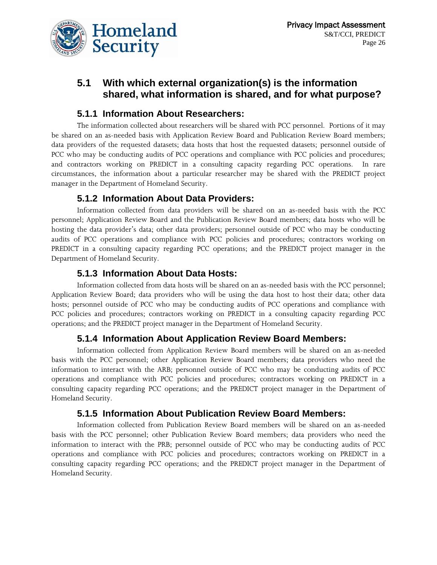

## **5.1 With which external organization(s) is the information shared, what information is shared, and for what purpose?**

## **5.1.1 Information About Researchers:**

The information collected about researchers will be shared with PCC personnel. Portions of it may be shared on an as-needed basis with Application Review Board and Publication Review Board members; data providers of the requested datasets; data hosts that host the requested datasets; personnel outside of PCC who may be conducting audits of PCC operations and compliance with PCC policies and procedures; and contractors working on PREDICT in a consulting capacity regarding PCC operations. In rare circumstances, the information about a particular researcher may be shared with the PREDICT project manager in the Department of Homeland Security.

## **5.1.2 Information About Data Providers:**

Information collected from data providers will be shared on an as-needed basis with the PCC personnel; Application Review Board and the Publication Review Board members; data hosts who will be hosting the data provider's data; other data providers; personnel outside of PCC who may be conducting audits of PCC operations and compliance with PCC policies and procedures; contractors working on PREDICT in a consulting capacity regarding PCC operations; and the PREDICT project manager in the Department of Homeland Security.

## **5.1.3 Information About Data Hosts:**

Information collected from data hosts will be shared on an as-needed basis with the PCC personnel; Application Review Board; data providers who will be using the data host to host their data; other data hosts; personnel outside of PCC who may be conducting audits of PCC operations and compliance with PCC policies and procedures; contractors working on PREDICT in a consulting capacity regarding PCC operations; and the PREDICT project manager in the Department of Homeland Security.

## **5.1.4 Information About Application Review Board Members:**

Information collected from Application Review Board members will be shared on an as-needed basis with the PCC personnel; other Application Review Board members; data providers who need the information to interact with the ARB; personnel outside of PCC who may be conducting audits of PCC operations and compliance with PCC policies and procedures; contractors working on PREDICT in a consulting capacity regarding PCC operations; and the PREDICT project manager in the Department of Homeland Security.

## **5.1.5 Information About Publication Review Board Members:**

Information collected from Publication Review Board members will be shared on an as-needed basis with the PCC personnel; other Publication Review Board members; data providers who need the information to interact with the PRB; personnel outside of PCC who may be conducting audits of PCC operations and compliance with PCC policies and procedures; contractors working on PREDICT in a consulting capacity regarding PCC operations; and the PREDICT project manager in the Department of Homeland Security.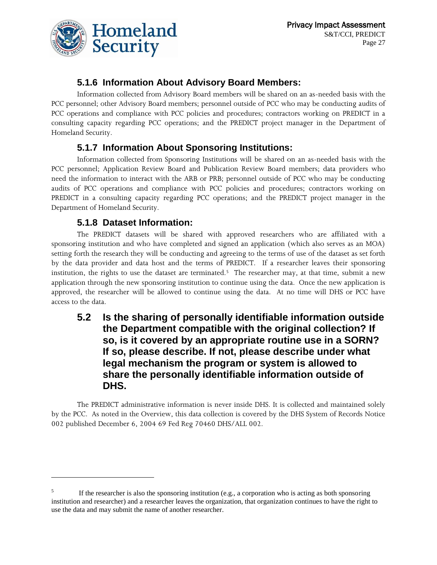

## **5.1.6 Information About Advisory Board Members:**

Information collected from Advisory Board members will be shared on an as-needed basis with the PCC personnel; other Advisory Board members; personnel outside of PCC who may be conducting audits of PCC operations and compliance with PCC policies and procedures; contractors working on PREDICT in a consulting capacity regarding PCC operations; and the PREDICT project manager in the Department of Homeland Security.

## **5.1.7 Information About Sponsoring Institutions:**

Information collected from Sponsoring Institutions will be shared on an as-needed basis with the PCC personnel; Application Review Board and Publication Review Board members; data providers who need the information to interact with the ARB or PRB; personnel outside of PCC who may be conducting audits of PCC operations and compliance with PCC policies and procedures; contractors working on PREDICT in a consulting capacity regarding PCC operations; and the PREDICT project manager in the Department of Homeland Security.

## **5.1.8 Dataset Information:**

 $\overline{a}$ 

The PREDICT datasets will be shared with approved researchers who are affiliated with a sponsoring institution and who have completed and signed an application (which also serves as an MOA) setting forth the research they will be conducting and agreeing to the terms of use of the dataset as set forth by the data provider and data host and the terms of PREDICT. If a researcher leaves their sponsoring institution, the rights to use the dataset are terminated.<sup>5</sup> The researcher may, at that time, submit a new application through the new sponsoring institution to continue using the data. Once the new application is approved, the researcher will be allowed to continue using the data. At no time will DHS or PCC have access to the data.

## **5.2 Is the sharing of personally identifiable information outside the Department compatible with the original collection? If so, is it covered by an appropriate routine use in a SORN? If so, please describe. If not, please describe under what legal mechanism the program or system is allowed to share the personally identifiable information outside of DHS.**

The PREDICT administrative information is never inside DHS. It is collected and maintained solely by the PCC. As noted in the Overview, this data collection is covered by the DHS System of Records Notice 002 published December 6, 2004 69 Fed Reg 70460 DHS/ALL 002.

<sup>5</sup> If the researcher is also the sponsoring institution (e.g., a corporation who is acting as both sponsoring institution and researcher) and a researcher leaves the organization, that organization continues to have the right to use the data and may submit the name of another researcher.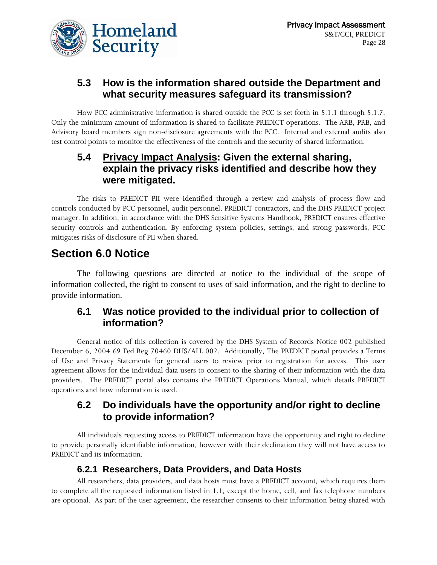

## **5.3 How is the information shared outside the Department and what security measures safeguard its transmission?**

How PCC administrative information is shared outside the PCC is set forth in 5.1.1 through 5.1.7. Only the minimum amount of information is shared to facilitate PREDICT operations. The ARB, PRB, and Advisory board members sign non-disclosure agreements with the PCC. Internal and external audits also test control points to monitor the effectiveness of the controls and the security of shared information.

## **5.4 Privacy Impact Analysis: Given the external sharing, explain the privacy risks identified and describe how they were mitigated.**

The risks to PREDICT PII were identified through a review and analysis of process flow and controls conducted by PCC personnel, audit personnel, PREDICT contractors, and the DHS PREDICT project manager. In addition, in accordance with the DHS Sensitive Systems Handbook, PREDICT ensures effective security controls and authentication. By enforcing system policies, settings, and strong passwords, PCC mitigates risks of disclosure of PII when shared.

## **Section 6.0 Notice**

The following questions are directed at notice to the individual of the scope of information collected, the right to consent to uses of said information, and the right to decline to provide information.

## **6.1 Was notice provided to the individual prior to collection of information?**

General notice of this collection is covered by the DHS System of Records Notice 002 published December 6, 2004 69 Fed Reg 70460 DHS/ALL 002. Additionally, The PREDICT portal provides a Terms of Use and Privacy Statements for general users to review prior to registration for access. This user agreement allows for the individual data users to consent to the sharing of their information with the data providers. The PREDICT portal also contains the PREDICT Operations Manual, which details PREDICT operations and how information is used.

## **6.2 Do individuals have the opportunity and/or right to decline to provide information?**

All individuals requesting access to PREDICT information have the opportunity and right to decline to provide personally identifiable information, however with their declination they will not have access to PREDICT and its information.

## **6.2.1 Researchers, Data Providers, and Data Hosts**

All researchers, data providers, and data hosts must have a PREDICT account, which requires them to complete all the requested information listed in 1.1, except the home, cell, and fax telephone numbers are optional. As part of the user agreement, the researcher consents to their information being shared with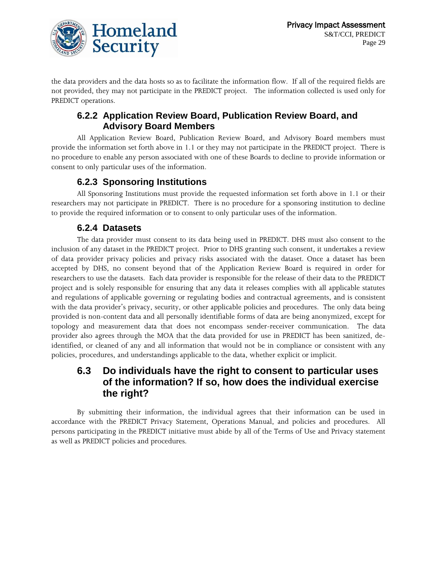

the data providers and the data hosts so as to facilitate the information flow. If all of the required fields are not provided, they may not participate in the PREDICT project. The information collected is used only for PREDICT operations.

### **6.2.2 Application Review Board, Publication Review Board, and Advisory Board Members**

All Application Review Board, Publication Review Board, and Advisory Board members must provide the information set forth above in 1.1 or they may not participate in the PREDICT project. There is no procedure to enable any person associated with one of these Boards to decline to provide information or consent to only particular uses of the information.

## **6.2.3 Sponsoring Institutions**

All Sponsoring Institutions must provide the requested information set forth above in 1.1 or their researchers may not participate in PREDICT. There is no procedure for a sponsoring institution to decline to provide the required information or to consent to only particular uses of the information.

## **6.2.4 Datasets**

The data provider must consent to its data being used in PREDICT. DHS must also consent to the inclusion of any dataset in the PREDICT project. Prior to DHS granting such consent, it undertakes a review of data provider privacy policies and privacy risks associated with the dataset. Once a dataset has been accepted by DHS, no consent beyond that of the Application Review Board is required in order for researchers to use the datasets. Each data provider is responsible for the release of their data to the PREDICT project and is solely responsible for ensuring that any data it releases complies with all applicable statutes and regulations of applicable governing or regulating bodies and contractual agreements, and is consistent with the data provider's privacy, security, or other applicable policies and procedures. The only data being provided is non-content data and all personally identifiable forms of data are being anonymized, except for topology and measurement data that does not encompass sender-receiver communication. The data provider also agrees through the MOA that the data provided for use in PREDICT has been sanitized, deidentified, or cleaned of any and all information that would not be in compliance or consistent with any policies, procedures, and understandings applicable to the data, whether explicit or implicit.

## **6.3 Do individuals have the right to consent to particular uses of the information? If so, how does the individual exercise the right?**

By submitting their information, the individual agrees that their information can be used in accordance with the PREDICT Privacy Statement, Operations Manual, and policies and procedures. All persons participating in the PREDICT initiative must abide by all of the Terms of Use and Privacy statement as well as PREDICT policies and procedures.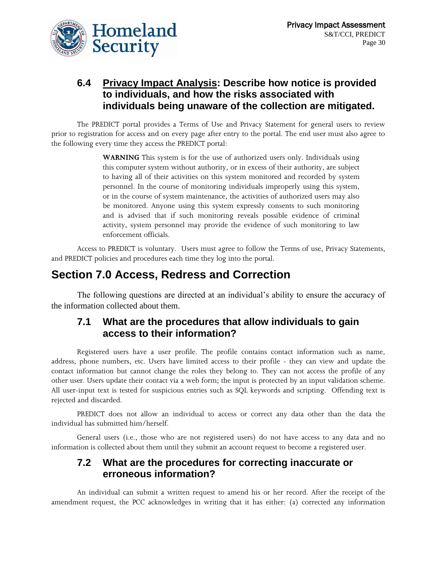

## **6.4 Privacy Impact Analysis: Describe how notice is provided to individuals, and how the risks associated with individuals being unaware of the collection are mitigated.**

The PREDICT portal provides a Terms of Use and Privacy Statement for general users to review prior to registration for access and on every page after entry to the portal. The end user must also agree to the following every time they access the PREDICT portal:

> **WARNING** This system is for the use of authorized users only. Individuals using this computer system without authority, or in excess of their authority, are subject to having all of their activities on this system monitored and recorded by system personnel. In the course of monitoring individuals improperly using this system, or in the course of system maintenance, the activities of authorized users may also be monitored. Anyone using this system expressly consents to such monitoring and is advised that if such monitoring reveals possible evidence of criminal activity, system personnel may provide the evidence of such monitoring to law enforcement officials.

Access to PREDICT is voluntary. Users must agree to follow the Terms of use, Privacy Statements, and PREDICT policies and procedures each time they log into the portal.

## **Section 7.0 Access, Redress and Correction**

The following questions are directed at an individual's ability to ensure the accuracy of the information collected about them.

## **7.1 What are the procedures that allow individuals to gain access to their information?**

Registered users have a user profile. The profile contains contact information such as name, address, phone numbers, etc. Users have limited access to their profile - they can view and update the contact information but cannot change the roles they belong to. They can not access the profile of any other user. Users update their contact via a web form; the input is protected by an input validation scheme. All user-input text is tested for suspicious entries such as SQL keywords and scripting. Offending text is rejected and discarded.

PREDICT does not allow an individual to access or correct any data other than the data the individual has submitted him/herself.

General users (i.e., those who are not registered users) do not have access to any data and no information is collected about them until they submit an account request to become a registered user.

## **7.2 What are the procedures for correcting inaccurate or erroneous information?**

An individual can submit a written request to amend his or her record. After the receipt of the amendment request, the PCC acknowledges in writing that it has either: (a) corrected any information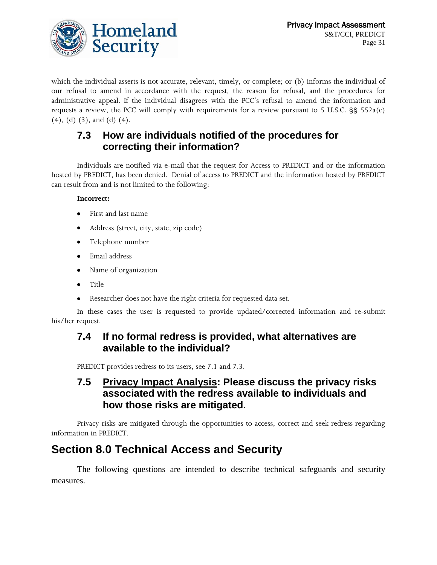

which the individual asserts is not accurate, relevant, timely, or complete; or (b) informs the individual of our refusal to amend in accordance with the request, the reason for refusal, and the procedures for administrative appeal. If the individual disagrees with the PCC's refusal to amend the information and requests a review, the PCC will comply with requirements for a review pursuant to 5 U.S.C. §§ 552a(c) (4), (d) (3), and (d) (4).

## **7.3 How are individuals notified of the procedures for correcting their information?**

Individuals are notified via e-mail that the request for Access to PREDICT and or the information hosted by PREDICT, has been denied. Denial of access to PREDICT and the information hosted by PREDICT can result from and is not limited to the following:

#### **Incorrect:**

- First and last name  $\bullet$
- Address (street, city, state, zip code)
- Telephone number
- Email address
- Name of organization  $\bullet$
- Title
- Researcher does not have the right criteria for requested data set.

In these cases the user is requested to provide updated/corrected information and re-submit his/her request.

## **7.4 If no formal redress is provided, what alternatives are available to the individual?**

PREDICT provides redress to its users, see 7.1 and 7.3.

## **7.5 Privacy Impact Analysis: Please discuss the privacy risks associated with the redress available to individuals and how those risks are mitigated.**

Privacy risks are mitigated through the opportunities to access, correct and seek redress regarding information in PREDICT.

## **Section 8.0 Technical Access and Security**

The following questions are intended to describe technical safeguards and security measures.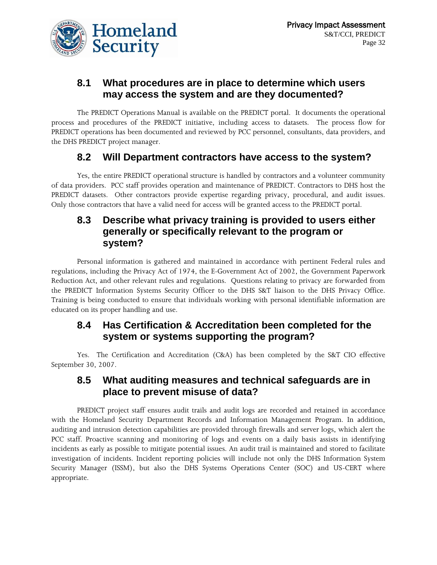

## **8.1 What procedures are in place to determine which users may access the system and are they documented?**

The PREDICT Operations Manual is available on the PREDICT portal. It documents the operational process and procedures of the PREDICT initiative, including access to datasets. The process flow for PREDICT operations has been documented and reviewed by PCC personnel, consultants, data providers, and the DHS PREDICT project manager.

## **8.2 Will Department contractors have access to the system?**

Yes, the entire PREDICT operational structure is handled by contractors and a volunteer community of data providers. PCC staff provides operation and maintenance of PREDICT. Contractors to DHS host the PREDICT datasets. Other contractors provide expertise regarding privacy, procedural, and audit issues. Only those contractors that have a valid need for access will be granted access to the PREDICT portal.

## **8.3 Describe what privacy training is provided to users either generally or specifically relevant to the program or system?**

Personal information is gathered and maintained in accordance with pertinent Federal rules and regulations, including the Privacy Act of 1974, the E-Government Act of 2002, the Government Paperwork Reduction Act, and other relevant rules and regulations. Questions relating to privacy are forwarded from the PREDICT Information Systems Security Officer to the DHS S&T liaison to the DHS Privacy Office. Training is being conducted to ensure that individuals working with personal identifiable information are educated on its proper handling and use.

## **8.4 Has Certification & Accreditation been completed for the system or systems supporting the program?**

Yes. The Certification and Accreditation (C&A) has been completed by the S&T CIO effective September 30, 2007.

## **8.5 What auditing measures and technical safeguards are in place to prevent misuse of data?**

PREDICT project staff ensures audit trails and audit logs are recorded and retained in accordance with the Homeland Security Department Records and Information Management Program. In addition, auditing and intrusion detection capabilities are provided through firewalls and server logs, which alert the PCC staff. Proactive scanning and monitoring of logs and events on a daily basis assists in identifying incidents as early as possible to mitigate potential issues. An audit trail is maintained and stored to facilitate investigation of incidents. Incident reporting policies will include not only the DHS Information System Security Manager (ISSM), but also the DHS Systems Operations Center (SOC) and US-CERT where appropriate.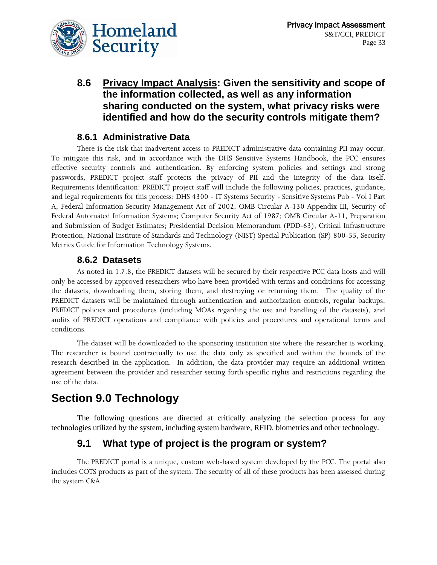

## **8.6 Privacy Impact Analysis: Given the sensitivity and scope of the information collected, as well as any information sharing conducted on the system, what privacy risks were identified and how do the security controls mitigate them?**

## **8.6.1 Administrative Data**

There is the risk that inadvertent access to PREDICT administrative data containing PII may occur. To mitigate this risk, and in accordance with the DHS Sensitive Systems Handbook, the PCC ensures effective security controls and authentication. By enforcing system policies and settings and strong passwords, PREDICT project staff protects the privacy of PII and the integrity of the data itself. Requirements Identification: PREDICT project staff will include the following policies, practices, guidance, and legal requirements for this process: DHS 4300 - IT Systems Security - Sensitive Systems Pub - Vol I Part A; Federal Information Security Management Act of 2002; OMB Circular A-130 Appendix III, Security of Federal Automated Information Systems; Computer Security Act of 1987; OMB Circular A-11, Preparation and Submission of Budget Estimates; Presidential Decision Memorandum (PDD-63), Critical Infrastructure Protection; National Institute of Standards and Technology (NIST) Special Publication (SP) 800-55, Security Metrics Guide for Information Technology Systems.

#### **8.6.2 Datasets**

As noted in 1.7.8, the PREDICT datasets will be secured by their respective PCC data hosts and will only be accessed by approved researchers who have been provided with terms and conditions for accessing the datasets, downloading them, storing them, and destroying or returning them. The quality of the PREDICT datasets will be maintained through authentication and authorization controls, regular backups, PREDICT policies and procedures (including MOAs regarding the use and handling of the datasets), and audits of PREDICT operations and compliance with policies and procedures and operational terms and conditions.

The dataset will be downloaded to the sponsoring institution site where the researcher is working. The researcher is bound contractually to use the data only as specified and within the bounds of the research described in the application. In addition, the data provider may require an additional written agreement between the provider and researcher setting forth specific rights and restrictions regarding the use of the data.

## **Section 9.0 Technology**

The following questions are directed at critically analyzing the selection process for any technologies utilized by the system, including system hardware, RFID, biometrics and other technology.

## **9.1 What type of project is the program or system?**

The PREDICT portal is a unique, custom web-based system developed by the PCC. The portal also includes COTS products as part of the system. The security of all of these products has been assessed during the system C&A.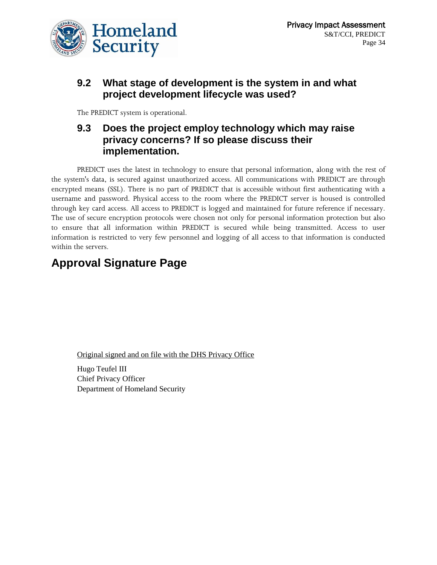

## **9.2 What stage of development is the system in and what project development lifecycle was used?**

The PREDICT system is operational.

## **9.3 Does the project employ technology which may raise privacy concerns? If so please discuss their implementation.**

PREDICT uses the latest in technology to ensure that personal information, along with the rest of the system's data, is secured against unauthorized access. All communications with PREDICT are through encrypted means (SSL). There is no part of PREDICT that is accessible without first authenticating with a username and password. Physical access to the room where the PREDICT server is housed is controlled through key card access. All access to PREDICT is logged and maintained for future reference if necessary. The use of secure encryption protocols were chosen not only for personal information protection but also to ensure that all information within PREDICT is secured while being transmitted. Access to user information is restricted to very few personnel and logging of all access to that information is conducted within the servers.

## **Approval Signature Page**

Original signed and on file with the DHS Privacy Office

Hugo Teufel III Chief Privacy Officer Department of Homeland Security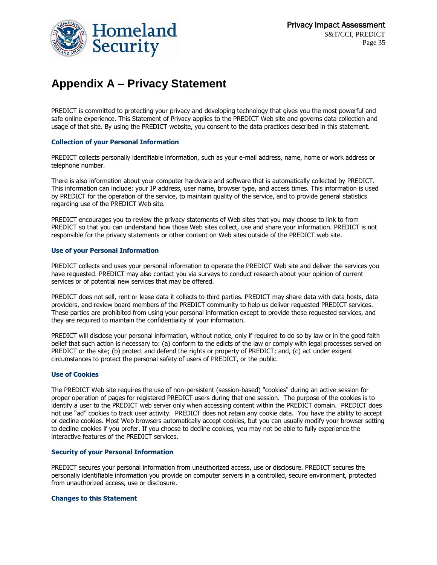

## **Appendix A – Privacy Statement**

PREDICT is committed to protecting your privacy and developing technology that gives you the most powerful and safe online experience. This Statement of Privacy applies to the PREDICT Web site and governs data collection and usage of that site. By using the PREDICT website, you consent to the data practices described in this statement.

#### **Collection of your Personal Information**

PREDICT collects personally identifiable information, such as your e-mail address, name, home or work address or telephone number.

There is also information about your computer hardware and software that is automatically collected by PREDICT. This information can include: your IP address, user name, browser type, and access times. This information is used by PREDICT for the operation of the service, to maintain quality of the service, and to provide general statistics regarding use of the PREDICT Web site.

PREDICT encourages you to review the privacy statements of Web sites that you may choose to link to from PREDICT so that you can understand how those Web sites collect, use and share your information. PREDICT is not responsible for the privacy statements or other content on Web sites outside of the PREDICT web site.

#### **Use of your Personal Information**

PREDICT collects and uses your personal information to operate the PREDICT Web site and deliver the services you have requested. PREDICT may also contact you via surveys to conduct research about your opinion of current services or of potential new services that may be offered.

PREDICT does not sell, rent or lease data it collects to third parties. PREDICT may share data with data hosts, data providers, and review board members of the PREDICT community to help us deliver requested PREDICT services. These parties are prohibited from using your personal information except to provide these requested services, and they are required to maintain the confidentiality of your information.

PREDICT will disclose your personal information, without notice, only if required to do so by law or in the good faith belief that such action is necessary to: (a) conform to the edicts of the law or comply with legal processes served on PREDICT or the site; (b) protect and defend the rights or property of PREDICT; and, (c) act under exigent circumstances to protect the personal safety of users of PREDICT, or the public.

#### **Use of Cookies**

The PREDICT Web site requires the use of non-persistent (session-based) "cookies" during an active session for proper operation of pages for registered PREDICT users during that one session. The purpose of the cookies is to identify a user to the PREDICT web server only when accessing content within the PREDICT domain. PREDICT does not use "ad" cookies to track user activity. PREDICT does not retain any cookie data. You have the ability to accept or decline cookies. Most Web browsers automatically accept cookies, but you can usually modify your browser setting to decline cookies if you prefer. If you choose to decline cookies, you may not be able to fully experience the interactive features of the PREDICT services.

#### **Security of your Personal Information**

PREDICT secures your personal information from unauthorized access, use or disclosure. PREDICT secures the personally identifiable information you provide on computer servers in a controlled, secure environment, protected from unauthorized access, use or disclosure.

#### **Changes to this Statement**